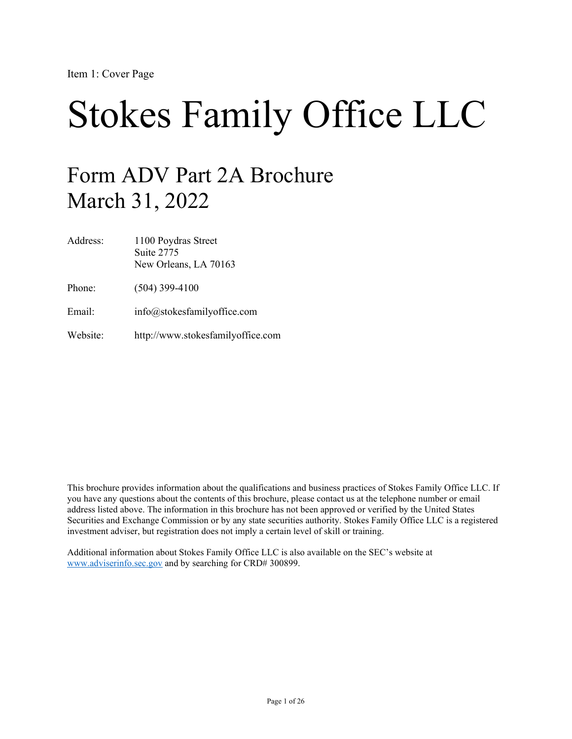# Stokes Family Office LLC

# Form ADV Part 2A Brochure March 31, 2022

| Address: | 1100 Poydras Street<br>Suite 2775<br>New Orleans, LA 70163 |
|----------|------------------------------------------------------------|
| Phone:   | $(504)$ 399-4100                                           |
| Email:   | info@stokesfamilyoffice.com                                |
| Website: | http://www.stokesfamilyoffice.com                          |

This brochure provides information about the qualifications and business practices of Stokes Family Office LLC. If you have any questions about the contents of this brochure, please contact us at the telephone number or email address listed above. The information in this brochure has not been approved or verified by the United States Securities and Exchange Commission or by any state securities authority. Stokes Family Office LLC is a registered investment adviser, but registration does not imply a certain level of skill or training.

Additional information about Stokes Family Office LLC is also available on the SEC's website at [www.adviserinfo.sec.gov](http://www.adviserinfo.sec.gov/) and by searching for CRD# 300899.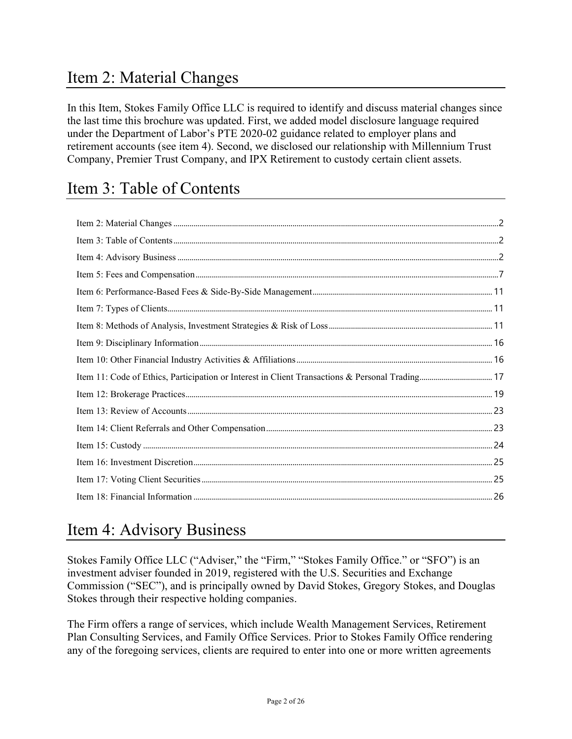# <span id="page-1-0"></span>Item 2: Material Changes

In this Item, Stokes Family Office LLC is required to identify and discuss material changes since the last time this brochure was updated. First, we added model disclosure language required under the Department of Labor's PTE 2020-02 guidance related to employer plans and retirement accounts (see item 4). Second, we disclosed our relationship with Millennium Trust Company, Premier Trust Company, and IPX Retirement to custody certain client assets.

# <span id="page-1-1"></span>Item 3: Table of Contents

# <span id="page-1-2"></span>Item 4: Advisory Business

Stokes Family Office LLC ("Adviser," the "Firm," "Stokes Family Office." or "SFO") is an investment adviser founded in 2019, registered with the U.S. Securities and Exchange Commission ("SEC"), and is principally owned by David Stokes, Gregory Stokes, and Douglas Stokes through their respective holding companies.

The Firm offers a range of services, which include Wealth Management Services, Retirement Plan Consulting Services, and Family Office Services. Prior to Stokes Family Office rendering any of the foregoing services, clients are required to enter into one or more written agreements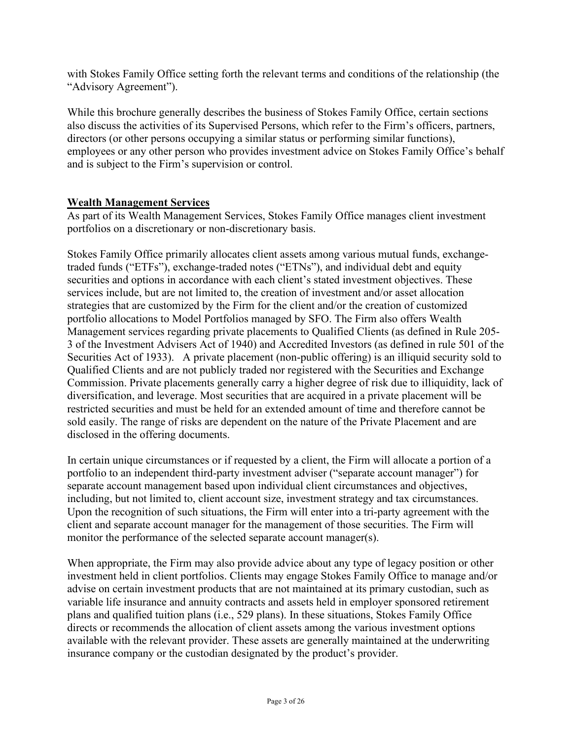with Stokes Family Office setting forth the relevant terms and conditions of the relationship (the "Advisory Agreement").

While this brochure generally describes the business of Stokes Family Office, certain sections also discuss the activities of its Supervised Persons, which refer to the Firm's officers, partners, directors (or other persons occupying a similar status or performing similar functions), employees or any other person who provides investment advice on Stokes Family Office's behalf and is subject to the Firm's supervision or control.

#### **Wealth Management Services**

As part of its Wealth Management Services, Stokes Family Office manages client investment portfolios on a discretionary or non-discretionary basis.

Stokes Family Office primarily allocates client assets among various mutual funds, exchangetraded funds ("ETFs"), exchange-traded notes ("ETNs"), and individual debt and equity securities and options in accordance with each client's stated investment objectives. These services include, but are not limited to, the creation of investment and/or asset allocation strategies that are customized by the Firm for the client and/or the creation of customized portfolio allocations to Model Portfolios managed by SFO. The Firm also offers Wealth Management services regarding private placements to Qualified Clients (as defined in Rule 205- 3 of the Investment Advisers Act of 1940) and Accredited Investors (as defined in rule 501 of the Securities Act of 1933). A private placement (non-public offering) is an illiquid security sold to Qualified Clients and are not publicly traded nor registered with the Securities and Exchange Commission. Private placements generally carry a higher degree of risk due to illiquidity, lack of diversification, and leverage. Most securities that are acquired in a private placement will be restricted securities and must be held for an extended amount of time and therefore cannot be sold easily. The range of risks are dependent on the nature of the Private Placement and are disclosed in the offering documents.

In certain unique circumstances or if requested by a client, the Firm will allocate a portion of a portfolio to an independent third-party investment adviser ("separate account manager") for separate account management based upon individual client circumstances and objectives, including, but not limited to, client account size, investment strategy and tax circumstances. Upon the recognition of such situations, the Firm will enter into a tri-party agreement with the client and separate account manager for the management of those securities. The Firm will monitor the performance of the selected separate account manager(s).

When appropriate, the Firm may also provide advice about any type of legacy position or other investment held in client portfolios. Clients may engage Stokes Family Office to manage and/or advise on certain investment products that are not maintained at its primary custodian, such as variable life insurance and annuity contracts and assets held in employer sponsored retirement plans and qualified tuition plans (i.e., 529 plans). In these situations, Stokes Family Office directs or recommends the allocation of client assets among the various investment options available with the relevant provider. These assets are generally maintained at the underwriting insurance company or the custodian designated by the product's provider.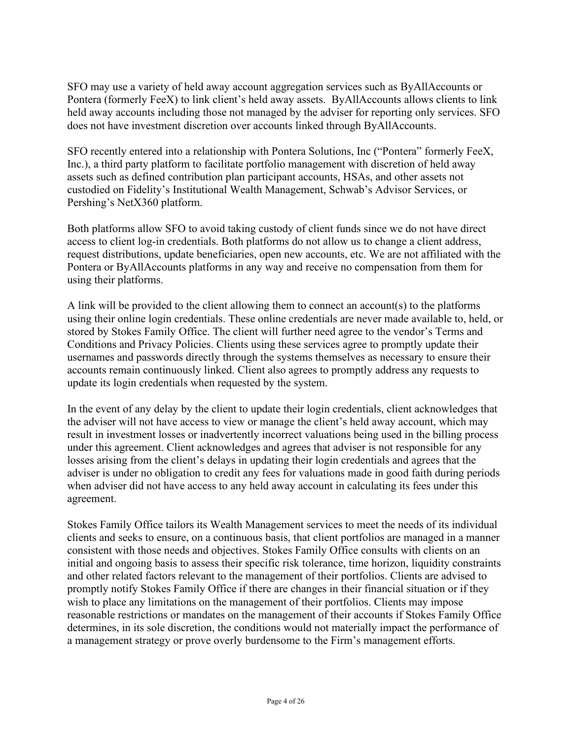SFO may use a variety of held away account aggregation services such as ByAllAccounts or Pontera (formerly FeeX) to link client's held away assets. ByAllAccounts allows clients to link held away accounts including those not managed by the adviser for reporting only services. SFO does not have investment discretion over accounts linked through ByAllAccounts.

SFO recently entered into a relationship with Pontera Solutions, Inc ("Pontera" formerly FeeX, Inc.), a third party platform to facilitate portfolio management with discretion of held away assets such as defined contribution plan participant accounts, HSAs, and other assets not custodied on Fidelity's Institutional Wealth Management, Schwab's Advisor Services, or Pershing's NetX360 platform.

Both platforms allow SFO to avoid taking custody of client funds since we do not have direct access to client log-in credentials. Both platforms do not allow us to change a client address, request distributions, update beneficiaries, open new accounts, etc. We are not affiliated with the Pontera or ByAllAccounts platforms in any way and receive no compensation from them for using their platforms.

A link will be provided to the client allowing them to connect an account(s) to the platforms using their online login credentials. These online credentials are never made available to, held, or stored by Stokes Family Office. The client will further need agree to the vendor's Terms and Conditions and Privacy Policies. Clients using these services agree to promptly update their usernames and passwords directly through the systems themselves as necessary to ensure their accounts remain continuously linked. Client also agrees to promptly address any requests to update its login credentials when requested by the system.

In the event of any delay by the client to update their login credentials, client acknowledges that the adviser will not have access to view or manage the client's held away account, which may result in investment losses or inadvertently incorrect valuations being used in the billing process under this agreement. Client acknowledges and agrees that adviser is not responsible for any losses arising from the client's delays in updating their login credentials and agrees that the adviser is under no obligation to credit any fees for valuations made in good faith during periods when adviser did not have access to any held away account in calculating its fees under this agreement.

Stokes Family Office tailors its Wealth Management services to meet the needs of its individual clients and seeks to ensure, on a continuous basis, that client portfolios are managed in a manner consistent with those needs and objectives. Stokes Family Office consults with clients on an initial and ongoing basis to assess their specific risk tolerance, time horizon, liquidity constraints and other related factors relevant to the management of their portfolios. Clients are advised to promptly notify Stokes Family Office if there are changes in their financial situation or if they wish to place any limitations on the management of their portfolios. Clients may impose reasonable restrictions or mandates on the management of their accounts if Stokes Family Office determines, in its sole discretion, the conditions would not materially impact the performance of a management strategy or prove overly burdensome to the Firm's management efforts.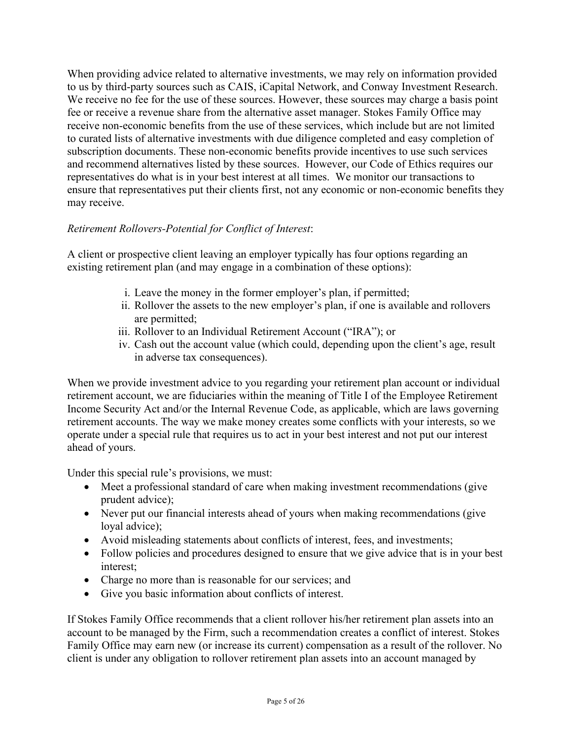When providing advice related to alternative investments, we may rely on information provided to us by third-party sources such as CAIS, iCapital Network, and Conway Investment Research. We receive no fee for the use of these sources. However, these sources may charge a basis point fee or receive a revenue share from the alternative asset manager. Stokes Family Office may receive non-economic benefits from the use of these services, which include but are not limited to curated lists of alternative investments with due diligence completed and easy completion of subscription documents. These non-economic benefits provide incentives to use such services and recommend alternatives listed by these sources. However, our Code of Ethics requires our representatives do what is in your best interest at all times. We monitor our transactions to ensure that representatives put their clients first, not any economic or non-economic benefits they may receive.

### *Retirement Rollovers-Potential for Conflict of Interest*:

A client or prospective client leaving an employer typically has four options regarding an existing retirement plan (and may engage in a combination of these options):

- i. Leave the money in the former employer's plan, if permitted;
- ii. Rollover the assets to the new employer's plan, if one is available and rollovers are permitted;
- iii. Rollover to an Individual Retirement Account ("IRA"); or
- iv. Cash out the account value (which could, depending upon the client's age, result in adverse tax consequences).

When we provide investment advice to you regarding your retirement plan account or individual retirement account, we are fiduciaries within the meaning of Title I of the Employee Retirement Income Security Act and/or the Internal Revenue Code, as applicable, which are laws governing retirement accounts. The way we make money creates some conflicts with your interests, so we operate under a special rule that requires us to act in your best interest and not put our interest ahead of yours.

Under this special rule's provisions, we must:

- Meet a professional standard of care when making investment recommendations (give prudent advice);
- Never put our financial interests ahead of yours when making recommendations (give loyal advice);
- Avoid misleading statements about conflicts of interest, fees, and investments;
- Follow policies and procedures designed to ensure that we give advice that is in your best interest;
- Charge no more than is reasonable for our services; and
- Give you basic information about conflicts of interest.

If Stokes Family Office recommends that a client rollover his/her retirement plan assets into an account to be managed by the Firm, such a recommendation creates a conflict of interest. Stokes Family Office may earn new (or increase its current) compensation as a result of the rollover. No client is under any obligation to rollover retirement plan assets into an account managed by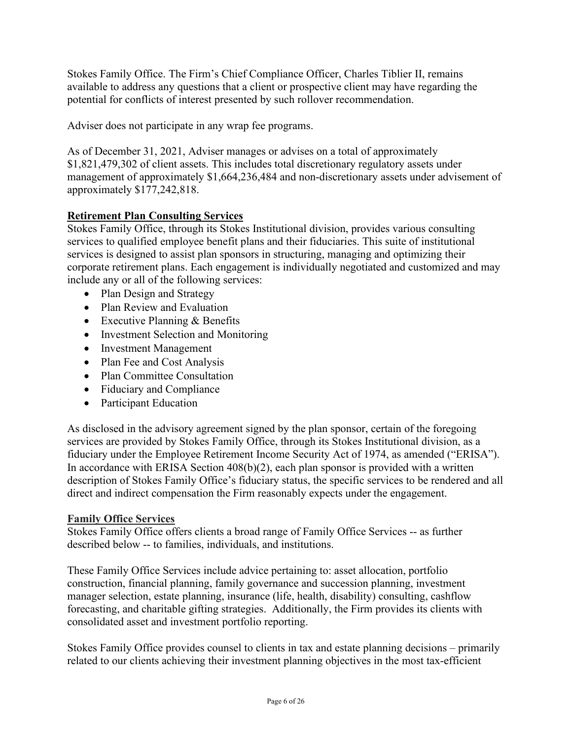Stokes Family Office. The Firm's Chief Compliance Officer, Charles Tiblier II, remains available to address any questions that a client or prospective client may have regarding the potential for conflicts of interest presented by such rollover recommendation.

Adviser does not participate in any wrap fee programs.

As of December 31, 2021, Adviser manages or advises on a total of approximately \$1,821,479,302 of client assets. This includes total discretionary regulatory assets under management of approximately \$1,664,236,484 and non-discretionary assets under advisement of approximately \$177,242,818.

### **Retirement Plan Consulting Services**

Stokes Family Office, through its Stokes Institutional division, provides various consulting services to qualified employee benefit plans and their fiduciaries. This suite of institutional services is designed to assist plan sponsors in structuring, managing and optimizing their corporate retirement plans. Each engagement is individually negotiated and customized and may include any or all of the following services:

- Plan Design and Strategy
- Plan Review and Evaluation
- Executive Planning & Benefits
- Investment Selection and Monitoring
- Investment Management
- Plan Fee and Cost Analysis
- Plan Committee Consultation
- Fiduciary and Compliance
- Participant Education

As disclosed in the advisory agreement signed by the plan sponsor, certain of the foregoing services are provided by Stokes Family Office, through its Stokes Institutional division, as a fiduciary under the Employee Retirement Income Security Act of 1974, as amended ("ERISA"). In accordance with ERISA Section 408(b)(2), each plan sponsor is provided with a written description of Stokes Family Office's fiduciary status, the specific services to be rendered and all direct and indirect compensation the Firm reasonably expects under the engagement.

#### **Family Office Services**

Stokes Family Office offers clients a broad range of Family Office Services -- as further described below -- to families, individuals, and institutions.

These Family Office Services include advice pertaining to: asset allocation, portfolio construction, financial planning, family governance and succession planning, investment manager selection, estate planning, insurance (life, health, disability) consulting, cashflow forecasting, and charitable gifting strategies. Additionally, the Firm provides its clients with consolidated asset and investment portfolio reporting.

Stokes Family Office provides counsel to clients in tax and estate planning decisions – primarily related to our clients achieving their investment planning objectives in the most tax-efficient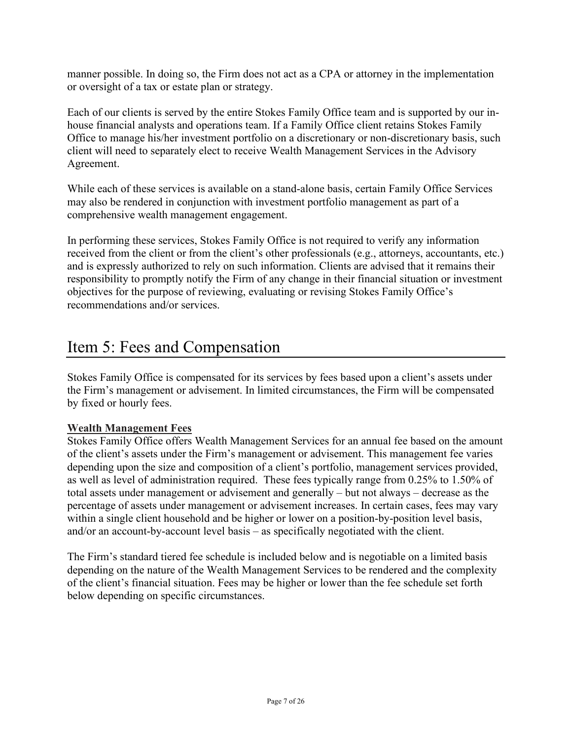manner possible. In doing so, the Firm does not act as a CPA or attorney in the implementation or oversight of a tax or estate plan or strategy.

Each of our clients is served by the entire Stokes Family Office team and is supported by our inhouse financial analysts and operations team. If a Family Office client retains Stokes Family Office to manage his/her investment portfolio on a discretionary or non-discretionary basis, such client will need to separately elect to receive Wealth Management Services in the Advisory Agreement.

While each of these services is available on a stand-alone basis, certain Family Office Services may also be rendered in conjunction with investment portfolio management as part of a comprehensive wealth management engagement.

In performing these services, Stokes Family Office is not required to verify any information received from the client or from the client's other professionals (e.g., attorneys, accountants, etc.) and is expressly authorized to rely on such information. Clients are advised that it remains their responsibility to promptly notify the Firm of any change in their financial situation or investment objectives for the purpose of reviewing, evaluating or revising Stokes Family Office's recommendations and/or services.

# <span id="page-6-0"></span>Item 5: Fees and Compensation

Stokes Family Office is compensated for its services by fees based upon a client's assets under the Firm's management or advisement. In limited circumstances, the Firm will be compensated by fixed or hourly fees.

### **Wealth Management Fees**

Stokes Family Office offers Wealth Management Services for an annual fee based on the amount of the client's assets under the Firm's management or advisement. This management fee varies depending upon the size and composition of a client's portfolio, management services provided, as well as level of administration required. These fees typically range from 0.25% to 1.50% of total assets under management or advisement and generally – but not always – decrease as the percentage of assets under management or advisement increases. In certain cases, fees may vary within a single client household and be higher or lower on a position-by-position level basis, and/or an account-by-account level basis – as specifically negotiated with the client.

The Firm's standard tiered fee schedule is included below and is negotiable on a limited basis depending on the nature of the Wealth Management Services to be rendered and the complexity of the client's financial situation. Fees may be higher or lower than the fee schedule set forth below depending on specific circumstances.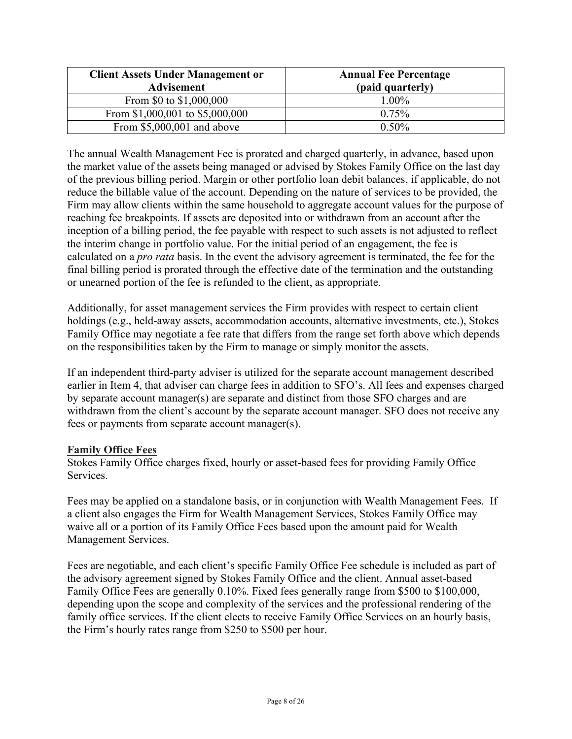| <b>Client Assets Under Management or</b> | <b>Annual Fee Percentage</b> |
|------------------------------------------|------------------------------|
| <b>Advisement</b>                        | (paid quarterly)             |
| From \$0 to \$1,000,000                  | 1.00%                        |
| From \$1,000,001 to \$5,000,000          | 0.75%                        |
| From $$5,000,001$ and above              | $0.50\%$                     |

The annual Wealth Management Fee is prorated and charged quarterly, in advance, based upon the market value of the assets being managed or advised by Stokes Family Office on the last day of the previous billing period. Margin or other portfolio loan debit balances, if applicable, do not reduce the billable value of the account. Depending on the nature of services to be provided, the Firm may allow clients within the same household to aggregate account values for the purpose of reaching fee breakpoints. If assets are deposited into or withdrawn from an account after the inception of a billing period, the fee payable with respect to such assets is not adjusted to reflect the interim change in portfolio value. For the initial period of an engagement, the fee is calculated on a *pro rata* basis. In the event the advisory agreement is terminated, the fee for the final billing period is prorated through the effective date of the termination and the outstanding or unearned portion of the fee is refunded to the client, as appropriate.

Additionally, for asset management services the Firm provides with respect to certain client holdings (e.g., held-away assets, accommodation accounts, alternative investments, etc.), Stokes Family Office may negotiate a fee rate that differs from the range set forth above which depends on the responsibilities taken by the Firm to manage or simply monitor the assets.

If an independent third-party adviser is utilized for the separate account management described earlier in Item 4, that adviser can charge fees in addition to SFO's. All fees and expenses charged by separate account manager(s) are separate and distinct from those SFO charges and are withdrawn from the client's account by the separate account manager. SFO does not receive any fees or payments from separate account manager(s).

### **Family Office Fees**

Stokes Family Office charges fixed, hourly or asset-based fees for providing Family Office Services.

Fees may be applied on a standalone basis, or in conjunction with Wealth Management Fees. If a client also engages the Firm for Wealth Management Services, Stokes Family Office may waive all or a portion of its Family Office Fees based upon the amount paid for Wealth Management Services.

Fees are negotiable, and each client's specific Family Office Fee schedule is included as part of the advisory agreement signed by Stokes Family Office and the client. Annual asset-based Family Office Fees are generally 0.10%. Fixed fees generally range from \$500 to \$100,000, depending upon the scope and complexity of the services and the professional rendering of the family office services. If the client elects to receive Family Office Services on an hourly basis, the Firm's hourly rates range from \$250 to \$500 per hour.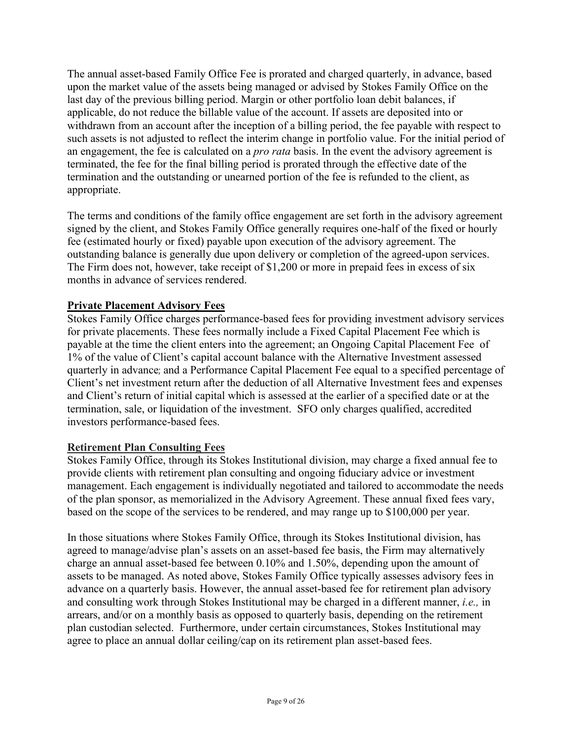The annual asset-based Family Office Fee is prorated and charged quarterly, in advance, based upon the market value of the assets being managed or advised by Stokes Family Office on the last day of the previous billing period. Margin or other portfolio loan debit balances, if applicable, do not reduce the billable value of the account. If assets are deposited into or withdrawn from an account after the inception of a billing period, the fee payable with respect to such assets is not adjusted to reflect the interim change in portfolio value. For the initial period of an engagement, the fee is calculated on a *pro rata* basis. In the event the advisory agreement is terminated, the fee for the final billing period is prorated through the effective date of the termination and the outstanding or unearned portion of the fee is refunded to the client, as appropriate.

The terms and conditions of the family office engagement are set forth in the advisory agreement signed by the client, and Stokes Family Office generally requires one-half of the fixed or hourly fee (estimated hourly or fixed) payable upon execution of the advisory agreement. The outstanding balance is generally due upon delivery or completion of the agreed-upon services. The Firm does not, however, take receipt of \$1,200 or more in prepaid fees in excess of six months in advance of services rendered.

### **Private Placement Advisory Fees**

Stokes Family Office charges performance-based fees for providing investment advisory services for private placements. These fees normally include a Fixed Capital Placement Fee which is payable at the time the client enters into the agreement; an Ongoing Capital Placement Fee of 1% of the value of Client's capital account balance with the Alternative Investment assessed quarterly in advance; and a Performance Capital Placement Fee equal to a specified percentage of Client's net investment return after the deduction of all Alternative Investment fees and expenses and Client's return of initial capital which is assessed at the earlier of a specified date or at the termination, sale, or liquidation of the investment. SFO only charges qualified, accredited investors performance-based fees.

#### **Retirement Plan Consulting Fees**

Stokes Family Office, through its Stokes Institutional division, may charge a fixed annual fee to provide clients with retirement plan consulting and ongoing fiduciary advice or investment management. Each engagement is individually negotiated and tailored to accommodate the needs of the plan sponsor, as memorialized in the Advisory Agreement. These annual fixed fees vary, based on the scope of the services to be rendered, and may range up to \$100,000 per year.

In those situations where Stokes Family Office, through its Stokes Institutional division, has agreed to manage/advise plan's assets on an asset-based fee basis, the Firm may alternatively charge an annual asset-based fee between 0.10% and 1.50%, depending upon the amount of assets to be managed. As noted above, Stokes Family Office typically assesses advisory fees in advance on a quarterly basis. However, the annual asset-based fee for retirement plan advisory and consulting work through Stokes Institutional may be charged in a different manner, *i.e.,* in arrears, and/or on a monthly basis as opposed to quarterly basis, depending on the retirement plan custodian selected. Furthermore, under certain circumstances, Stokes Institutional may agree to place an annual dollar ceiling/cap on its retirement plan asset-based fees.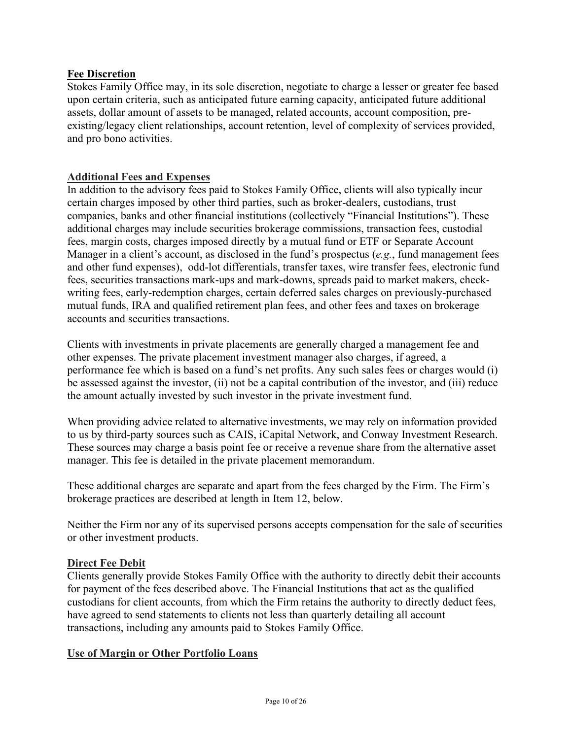### **Fee Discretion**

Stokes Family Office may, in its sole discretion, negotiate to charge a lesser or greater fee based upon certain criteria, such as anticipated future earning capacity, anticipated future additional assets, dollar amount of assets to be managed, related accounts, account composition, preexisting/legacy client relationships, account retention, level of complexity of services provided, and pro bono activities.

#### **Additional Fees and Expenses**

In addition to the advisory fees paid to Stokes Family Office, clients will also typically incur certain charges imposed by other third parties, such as broker-dealers, custodians, trust companies, banks and other financial institutions (collectively "Financial Institutions"). These additional charges may include securities brokerage commissions, transaction fees, custodial fees, margin costs, charges imposed directly by a mutual fund or ETF or Separate Account Manager in a client's account, as disclosed in the fund's prospectus (*e.g.*, fund management fees and other fund expenses), odd-lot differentials, transfer taxes, wire transfer fees, electronic fund fees, securities transactions mark-ups and mark-downs, spreads paid to market makers, checkwriting fees, early-redemption charges, certain deferred sales charges on previously-purchased mutual funds, IRA and qualified retirement plan fees, and other fees and taxes on brokerage accounts and securities transactions.

Clients with investments in private placements are generally charged a management fee and other expenses. The private placement investment manager also charges, if agreed, a performance fee which is based on a fund's net profits. Any such sales fees or charges would (i) be assessed against the investor, (ii) not be a capital contribution of the investor, and (iii) reduce the amount actually invested by such investor in the private investment fund.

When providing advice related to alternative investments, we may rely on information provided to us by third-party sources such as CAIS, iCapital Network, and Conway Investment Research. These sources may charge a basis point fee or receive a revenue share from the alternative asset manager. This fee is detailed in the private placement memorandum.

These additional charges are separate and apart from the fees charged by the Firm. The Firm's brokerage practices are described at length in Item 12, below.

Neither the Firm nor any of its supervised persons accepts compensation for the sale of securities or other investment products.

#### **Direct Fee Debit**

Clients generally provide Stokes Family Office with the authority to directly debit their accounts for payment of the fees described above. The Financial Institutions that act as the qualified custodians for client accounts, from which the Firm retains the authority to directly deduct fees, have agreed to send statements to clients not less than quarterly detailing all account transactions, including any amounts paid to Stokes Family Office.

#### **Use of Margin or Other Portfolio Loans**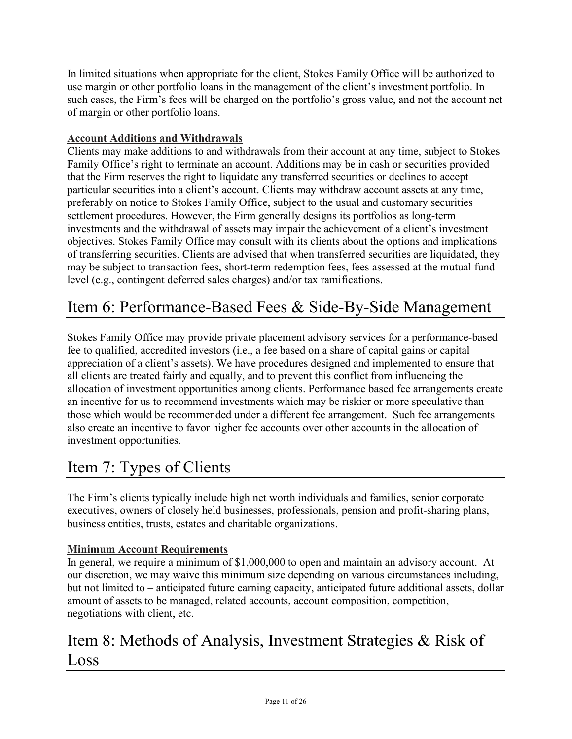In limited situations when appropriate for the client, Stokes Family Office will be authorized to use margin or other portfolio loans in the management of the client's investment portfolio. In such cases, the Firm's fees will be charged on the portfolio's gross value, and not the account net of margin or other portfolio loans.

# **Account Additions and Withdrawals**

Clients may make additions to and withdrawals from their account at any time, subject to Stokes Family Office's right to terminate an account. Additions may be in cash or securities provided that the Firm reserves the right to liquidate any transferred securities or declines to accept particular securities into a client's account. Clients may withdraw account assets at any time, preferably on notice to Stokes Family Office, subject to the usual and customary securities settlement procedures. However, the Firm generally designs its portfolios as long-term investments and the withdrawal of assets may impair the achievement of a client's investment objectives. Stokes Family Office may consult with its clients about the options and implications of transferring securities. Clients are advised that when transferred securities are liquidated, they may be subject to transaction fees, short-term redemption fees, fees assessed at the mutual fund level (e.g., contingent deferred sales charges) and/or tax ramifications.

# <span id="page-10-0"></span>Item 6: Performance-Based Fees & Side-By-Side Management

Stokes Family Office may provide private placement advisory services for a performance-based fee to qualified, accredited investors (i.e., a fee based on a share of capital gains or capital appreciation of a client's assets). We have procedures designed and implemented to ensure that all clients are treated fairly and equally, and to prevent this conflict from influencing the allocation of investment opportunities among clients. Performance based fee arrangements create an incentive for us to recommend investments which may be riskier or more speculative than those which would be recommended under a different fee arrangement. Such fee arrangements also create an incentive to favor higher fee accounts over other accounts in the allocation of investment opportunities.

# <span id="page-10-1"></span>Item 7: Types of Clients

The Firm's clients typically include high net worth individuals and families, senior corporate executives, owners of closely held businesses, professionals, pension and profit-sharing plans, business entities, trusts, estates and charitable organizations.

# **Minimum Account Requirements**

In general, we require a minimum of \$1,000,000 to open and maintain an advisory account. At our discretion, we may waive this minimum size depending on various circumstances including, but not limited to – anticipated future earning capacity, anticipated future additional assets, dollar amount of assets to be managed, related accounts, account composition, competition, negotiations with client, etc.

# <span id="page-10-2"></span>Item 8: Methods of Analysis, Investment Strategies & Risk of Loss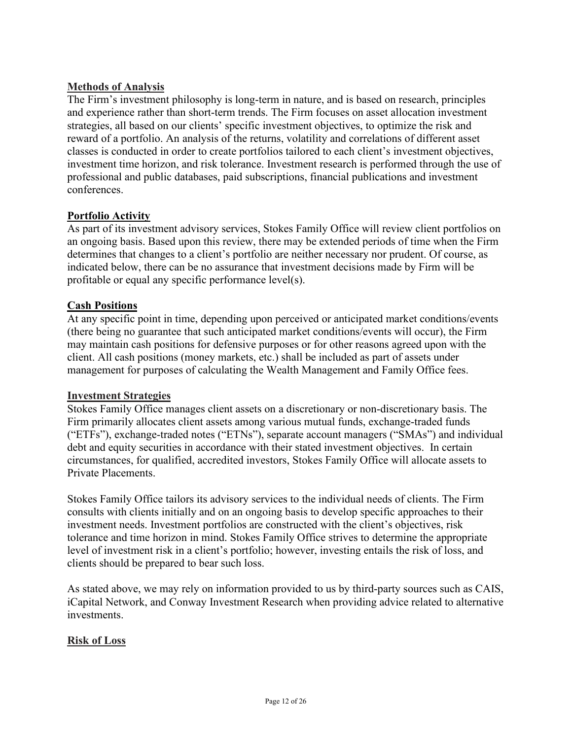### **Methods of Analysis**

The Firm's investment philosophy is long-term in nature, and is based on research, principles and experience rather than short-term trends. The Firm focuses on asset allocation investment strategies, all based on our clients' specific investment objectives, to optimize the risk and reward of a portfolio. An analysis of the returns, volatility and correlations of different asset classes is conducted in order to create portfolios tailored to each client's investment objectives, investment time horizon, and risk tolerance. Investment research is performed through the use of professional and public databases, paid subscriptions, financial publications and investment conferences.

### **Portfolio Activity**

As part of its investment advisory services, Stokes Family Office will review client portfolios on an ongoing basis. Based upon this review, there may be extended periods of time when the Firm determines that changes to a client's portfolio are neither necessary nor prudent. Of course, as indicated below, there can be no assurance that investment decisions made by Firm will be profitable or equal any specific performance level(s).

#### **Cash Positions**

At any specific point in time, depending upon perceived or anticipated market conditions/events (there being no guarantee that such anticipated market conditions/events will occur), the Firm may maintain cash positions for defensive purposes or for other reasons agreed upon with the client. All cash positions (money markets, etc.) shall be included as part of assets under management for purposes of calculating the Wealth Management and Family Office fees.

#### **Investment Strategies**

Stokes Family Office manages client assets on a discretionary or non-discretionary basis. The Firm primarily allocates client assets among various mutual funds, exchange-traded funds ("ETFs"), exchange-traded notes ("ETNs"), separate account managers ("SMAs") and individual debt and equity securities in accordance with their stated investment objectives. In certain circumstances, for qualified, accredited investors, Stokes Family Office will allocate assets to Private Placements.

Stokes Family Office tailors its advisory services to the individual needs of clients. The Firm consults with clients initially and on an ongoing basis to develop specific approaches to their investment needs. Investment portfolios are constructed with the client's objectives, risk tolerance and time horizon in mind. Stokes Family Office strives to determine the appropriate level of investment risk in a client's portfolio; however, investing entails the risk of loss, and clients should be prepared to bear such loss.

As stated above, we may rely on information provided to us by third-party sources such as CAIS, iCapital Network, and Conway Investment Research when providing advice related to alternative investments.

#### **Risk of Loss**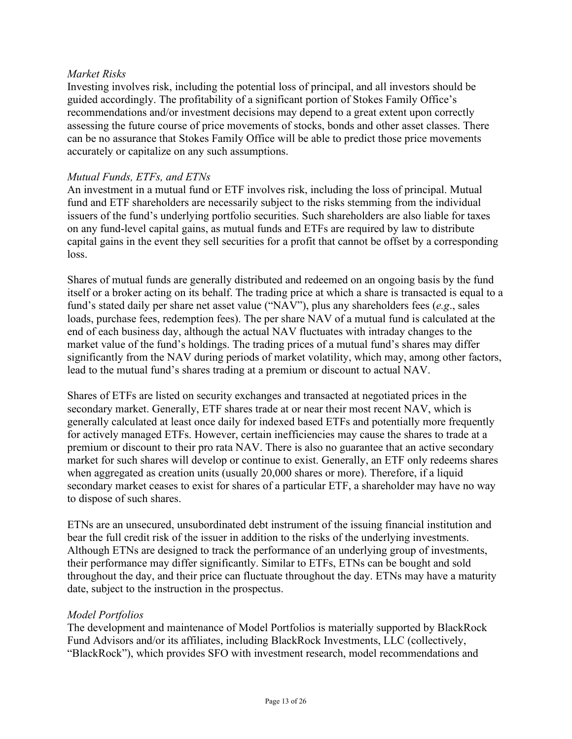#### *Market Risks*

Investing involves risk, including the potential loss of principal, and all investors should be guided accordingly. The profitability of a significant portion of Stokes Family Office's recommendations and/or investment decisions may depend to a great extent upon correctly assessing the future course of price movements of stocks, bonds and other asset classes. There can be no assurance that Stokes Family Office will be able to predict those price movements accurately or capitalize on any such assumptions.

#### *Mutual Funds, ETFs, and ETNs*

An investment in a mutual fund or ETF involves risk, including the loss of principal. Mutual fund and ETF shareholders are necessarily subject to the risks stemming from the individual issuers of the fund's underlying portfolio securities. Such shareholders are also liable for taxes on any fund-level capital gains, as mutual funds and ETFs are required by law to distribute capital gains in the event they sell securities for a profit that cannot be offset by a corresponding loss.

Shares of mutual funds are generally distributed and redeemed on an ongoing basis by the fund itself or a broker acting on its behalf. The trading price at which a share is transacted is equal to a fund's stated daily per share net asset value ("NAV"), plus any shareholders fees (*e.g*., sales loads, purchase fees, redemption fees). The per share NAV of a mutual fund is calculated at the end of each business day, although the actual NAV fluctuates with intraday changes to the market value of the fund's holdings. The trading prices of a mutual fund's shares may differ significantly from the NAV during periods of market volatility, which may, among other factors, lead to the mutual fund's shares trading at a premium or discount to actual NAV.

Shares of ETFs are listed on security exchanges and transacted at negotiated prices in the secondary market. Generally, ETF shares trade at or near their most recent NAV, which is generally calculated at least once daily for indexed based ETFs and potentially more frequently for actively managed ETFs. However, certain inefficiencies may cause the shares to trade at a premium or discount to their pro rata NAV. There is also no guarantee that an active secondary market for such shares will develop or continue to exist. Generally, an ETF only redeems shares when aggregated as creation units (usually 20,000 shares or more). Therefore, if a liquid secondary market ceases to exist for shares of a particular ETF, a shareholder may have no way to dispose of such shares.

ETNs are an unsecured, unsubordinated debt instrument of the issuing financial institution and bear the full credit risk of the issuer in addition to the risks of the underlying investments. Although ETNs are designed to track the performance of an underlying group of investments, their performance may differ significantly. Similar to ETFs, ETNs can be bought and sold throughout the day, and their price can fluctuate throughout the day. ETNs may have a maturity date, subject to the instruction in the prospectus.

#### *Model Portfolios*

The development and maintenance of Model Portfolios is materially supported by BlackRock Fund Advisors and/or its affiliates, including BlackRock Investments, LLC (collectively, "BlackRock"), which provides SFO with investment research, model recommendations and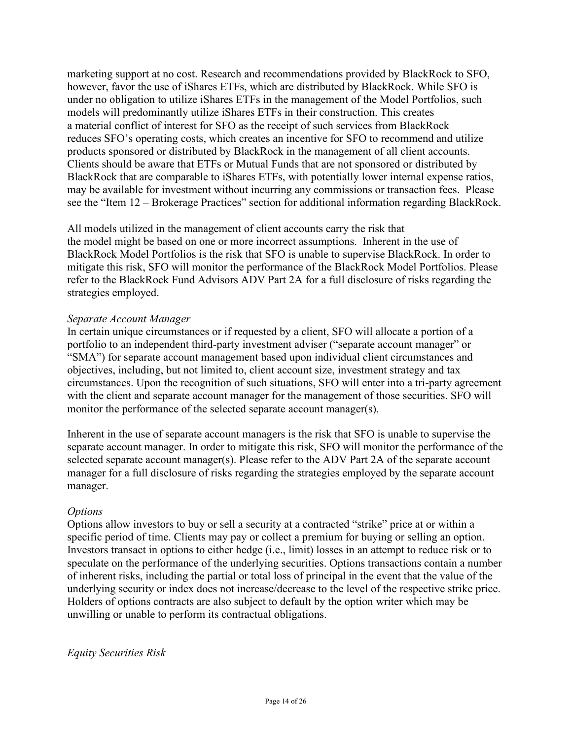marketing support at no cost. Research and recommendations provided by BlackRock to SFO, however, favor the use of iShares ETFs, which are distributed by BlackRock. While SFO is under no obligation to utilize iShares ETFs in the management of the Model Portfolios, such models will predominantly utilize iShares ETFs in their construction. This creates a material conflict of interest for SFO as the receipt of such services from BlackRock reduces SFO's operating costs, which creates an incentive for SFO to recommend and utilize products sponsored or distributed by BlackRock in the management of all client accounts. Clients should be aware that ETFs or Mutual Funds that are not sponsored or distributed by BlackRock that are comparable to iShares ETFs, with potentially lower internal expense ratios, may be available for investment without incurring any commissions or transaction fees. Please see the "Item 12 – Brokerage Practices" section for additional information regarding BlackRock.

All models utilized in the management of client accounts carry the risk that the model might be based on one or more incorrect assumptions. Inherent in the use of BlackRock Model Portfolios is the risk that SFO is unable to supervise BlackRock. In order to mitigate this risk, SFO will monitor the performance of the BlackRock Model Portfolios. Please refer to the BlackRock Fund Advisors ADV Part 2A for a full disclosure of risks regarding the strategies employed.

#### *Separate Account Manager*

In certain unique circumstances or if requested by a client, SFO will allocate a portion of a portfolio to an independent third-party investment adviser ("separate account manager" or "SMA") for separate account management based upon individual client circumstances and objectives, including, but not limited to, client account size, investment strategy and tax circumstances. Upon the recognition of such situations, SFO will enter into a tri-party agreement with the client and separate account manager for the management of those securities. SFO will monitor the performance of the selected separate account manager(s).

Inherent in the use of separate account managers is the risk that SFO is unable to supervise the separate account manager. In order to mitigate this risk, SFO will monitor the performance of the selected separate account manager(s). Please refer to the ADV Part 2A of the separate account manager for a full disclosure of risks regarding the strategies employed by the separate account manager.

#### *Options*

Options allow investors to buy or sell a security at a contracted "strike" price at or within a specific period of time. Clients may pay or collect a premium for buying or selling an option. Investors transact in options to either hedge (i.e., limit) losses in an attempt to reduce risk or to speculate on the performance of the underlying securities. Options transactions contain a number of inherent risks, including the partial or total loss of principal in the event that the value of the underlying security or index does not increase/decrease to the level of the respective strike price. Holders of options contracts are also subject to default by the option writer which may be unwilling or unable to perform its contractual obligations.

*Equity Securities Risk*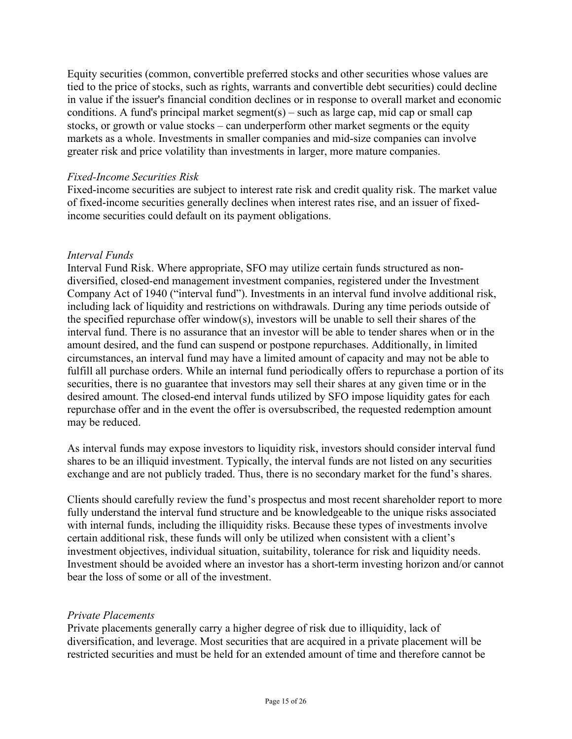Equity securities (common, convertible preferred stocks and other securities whose values are tied to the price of stocks, such as rights, warrants and convertible debt securities) could decline in value if the issuer's financial condition declines or in response to overall market and economic conditions. A fund's principal market segment(s) – such as large cap, mid cap or small cap stocks, or growth or value stocks – can underperform other market segments or the equity markets as a whole. Investments in smaller companies and mid-size companies can involve greater risk and price volatility than investments in larger, more mature companies.

#### *Fixed-Income Securities Risk*

Fixed-income securities are subject to interest rate risk and credit quality risk. The market value of fixed-income securities generally declines when interest rates rise, and an issuer of fixedincome securities could default on its payment obligations.

#### *Interval Funds*

Interval Fund Risk. Where appropriate, SFO may utilize certain funds structured as nondiversified, closed-end management investment companies, registered under the Investment Company Act of 1940 ("interval fund"). Investments in an interval fund involve additional risk, including lack of liquidity and restrictions on withdrawals. During any time periods outside of the specified repurchase offer window(s), investors will be unable to sell their shares of the interval fund. There is no assurance that an investor will be able to tender shares when or in the amount desired, and the fund can suspend or postpone repurchases. Additionally, in limited circumstances, an interval fund may have a limited amount of capacity and may not be able to fulfill all purchase orders. While an internal fund periodically offers to repurchase a portion of its securities, there is no guarantee that investors may sell their shares at any given time or in the desired amount. The closed-end interval funds utilized by SFO impose liquidity gates for each repurchase offer and in the event the offer is oversubscribed, the requested redemption amount may be reduced.

As interval funds may expose investors to liquidity risk, investors should consider interval fund shares to be an illiquid investment. Typically, the interval funds are not listed on any securities exchange and are not publicly traded. Thus, there is no secondary market for the fund's shares.

Clients should carefully review the fund's prospectus and most recent shareholder report to more fully understand the interval fund structure and be knowledgeable to the unique risks associated with internal funds, including the illiquidity risks. Because these types of investments involve certain additional risk, these funds will only be utilized when consistent with a client's investment objectives, individual situation, suitability, tolerance for risk and liquidity needs. Investment should be avoided where an investor has a short-term investing horizon and/or cannot bear the loss of some or all of the investment.

#### *Private Placements*

Private placements generally carry a higher degree of risk due to illiquidity, lack of diversification, and leverage. Most securities that are acquired in a private placement will be restricted securities and must be held for an extended amount of time and therefore cannot be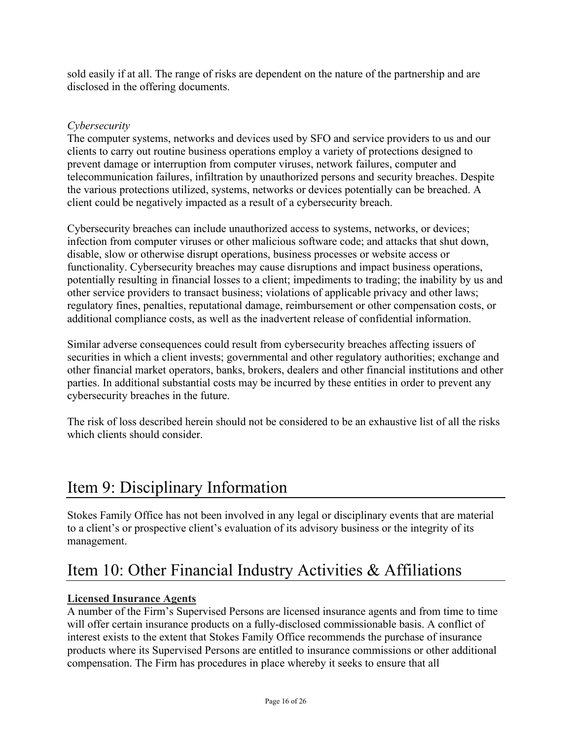sold easily if at all. The range of risks are dependent on the nature of the partnership and are disclosed in the offering documents.

### *Cybersecurity*

The computer systems, networks and devices used by SFO and service providers to us and our clients to carry out routine business operations employ a variety of protections designed to prevent damage or interruption from computer viruses, network failures, computer and telecommunication failures, infiltration by unauthorized persons and security breaches. Despite the various protections utilized, systems, networks or devices potentially can be breached. A client could be negatively impacted as a result of a cybersecurity breach.

Cybersecurity breaches can include unauthorized access to systems, networks, or devices; infection from computer viruses or other malicious software code; and attacks that shut down, disable, slow or otherwise disrupt operations, business processes or website access or functionality. Cybersecurity breaches may cause disruptions and impact business operations, potentially resulting in financial losses to a client; impediments to trading; the inability by us and other service providers to transact business; violations of applicable privacy and other laws; regulatory fines, penalties, reputational damage, reimbursement or other compensation costs, or additional compliance costs, as well as the inadvertent release of confidential information.

Similar adverse consequences could result from cybersecurity breaches affecting issuers of securities in which a client invests; governmental and other regulatory authorities; exchange and other financial market operators, banks, brokers, dealers and other financial institutions and other parties. In additional substantial costs may be incurred by these entities in order to prevent any cybersecurity breaches in the future.

The risk of loss described herein should not be considered to be an exhaustive list of all the risks which clients should consider.

# <span id="page-15-0"></span>Item 9: Disciplinary Information

Stokes Family Office has not been involved in any legal or disciplinary events that are material to a client's or prospective client's evaluation of its advisory business or the integrity of its management.

# <span id="page-15-1"></span>Item 10: Other Financial Industry Activities & Affiliations

### **Licensed Insurance Agents**

A number of the Firm's Supervised Persons are licensed insurance agents and from time to time will offer certain insurance products on a fully-disclosed commissionable basis. A conflict of interest exists to the extent that Stokes Family Office recommends the purchase of insurance products where its Supervised Persons are entitled to insurance commissions or other additional compensation. The Firm has procedures in place whereby it seeks to ensure that all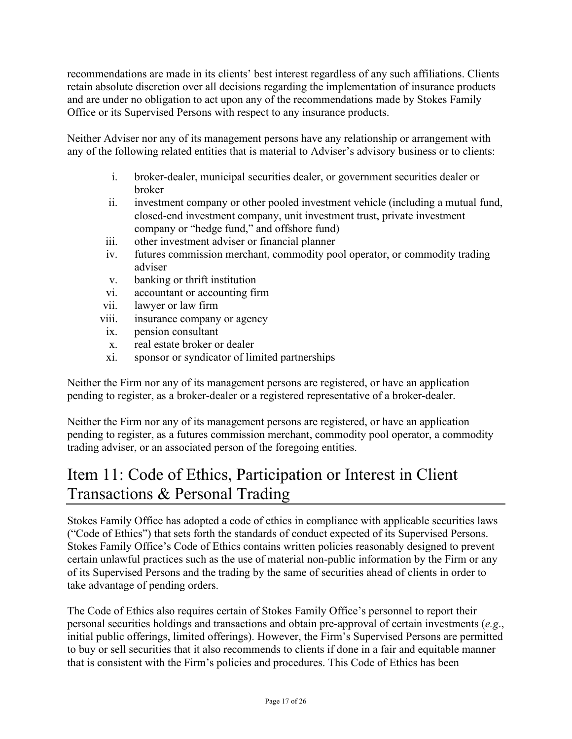recommendations are made in its clients' best interest regardless of any such affiliations. Clients retain absolute discretion over all decisions regarding the implementation of insurance products and are under no obligation to act upon any of the recommendations made by Stokes Family Office or its Supervised Persons with respect to any insurance products.

Neither Adviser nor any of its management persons have any relationship or arrangement with any of the following related entities that is material to Adviser's advisory business or to clients:

- i. broker-dealer, municipal securities dealer, or government securities dealer or broker
- ii. investment company or other pooled investment vehicle (including a mutual fund, closed-end investment company, unit investment trust, private investment company or "hedge fund," and offshore fund)
- iii. other investment adviser or financial planner
- iv. futures commission merchant, commodity pool operator, or commodity trading adviser
- v. banking or thrift institution
- vi. accountant or accounting firm
- vii. lawyer or law firm
- viii. insurance company or agency
- ix. pension consultant
- x. real estate broker or dealer
- xi. sponsor or syndicator of limited partnerships

Neither the Firm nor any of its management persons are registered, or have an application pending to register, as a broker-dealer or a registered representative of a broker-dealer.

Neither the Firm nor any of its management persons are registered, or have an application pending to register, as a futures commission merchant, commodity pool operator, a commodity trading adviser, or an associated person of the foregoing entities.

# <span id="page-16-0"></span>Item 11: Code of Ethics, Participation or Interest in Client Transactions & Personal Trading

Stokes Family Office has adopted a code of ethics in compliance with applicable securities laws ("Code of Ethics") that sets forth the standards of conduct expected of its Supervised Persons. Stokes Family Office's Code of Ethics contains written policies reasonably designed to prevent certain unlawful practices such as the use of material non-public information by the Firm or any of its Supervised Persons and the trading by the same of securities ahead of clients in order to take advantage of pending orders.

The Code of Ethics also requires certain of Stokes Family Office's personnel to report their personal securities holdings and transactions and obtain pre-approval of certain investments (*e.g*., initial public offerings, limited offerings). However, the Firm's Supervised Persons are permitted to buy or sell securities that it also recommends to clients if done in a fair and equitable manner that is consistent with the Firm's policies and procedures. This Code of Ethics has been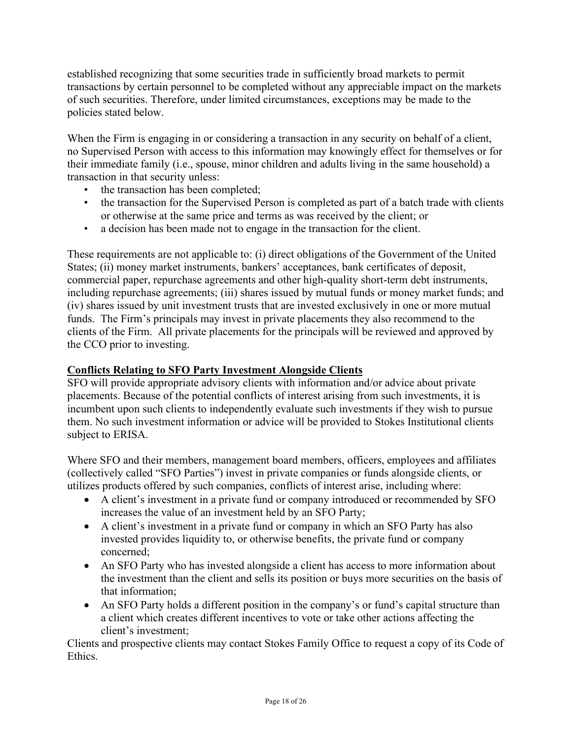established recognizing that some securities trade in sufficiently broad markets to permit transactions by certain personnel to be completed without any appreciable impact on the markets of such securities. Therefore, under limited circumstances, exceptions may be made to the policies stated below.

When the Firm is engaging in or considering a transaction in any security on behalf of a client, no Supervised Person with access to this information may knowingly effect for themselves or for their immediate family (i.e., spouse, minor children and adults living in the same household) a transaction in that security unless:

- the transaction has been completed;
- the transaction for the Supervised Person is completed as part of a batch trade with clients or otherwise at the same price and terms as was received by the client; or
- a decision has been made not to engage in the transaction for the client.

These requirements are not applicable to: (i) direct obligations of the Government of the United States; (ii) money market instruments, bankers' acceptances, bank certificates of deposit, commercial paper, repurchase agreements and other high-quality short-term debt instruments, including repurchase agreements; (iii) shares issued by mutual funds or money market funds; and (iv) shares issued by unit investment trusts that are invested exclusively in one or more mutual funds. The Firm's principals may invest in private placements they also recommend to the clients of the Firm. All private placements for the principals will be reviewed and approved by the CCO prior to investing.

### **Conflicts Relating to SFO Party Investment Alongside Clients**

SFO will provide appropriate advisory clients with information and/or advice about private placements. Because of the potential conflicts of interest arising from such investments, it is incumbent upon such clients to independently evaluate such investments if they wish to pursue them. No such investment information or advice will be provided to Stokes Institutional clients subject to ERISA.

Where SFO and their members, management board members, officers, employees and affiliates (collectively called "SFO Parties") invest in private companies or funds alongside clients, or utilizes products offered by such companies, conflicts of interest arise, including where:

- A client's investment in a private fund or company introduced or recommended by SFO increases the value of an investment held by an SFO Party;
- A client's investment in a private fund or company in which an SFO Party has also invested provides liquidity to, or otherwise benefits, the private fund or company concerned;
- An SFO Party who has invested alongside a client has access to more information about the investment than the client and sells its position or buys more securities on the basis of that information;
- An SFO Party holds a different position in the company's or fund's capital structure than a client which creates different incentives to vote or take other actions affecting the client's investment;

Clients and prospective clients may contact Stokes Family Office to request a copy of its Code of Ethics.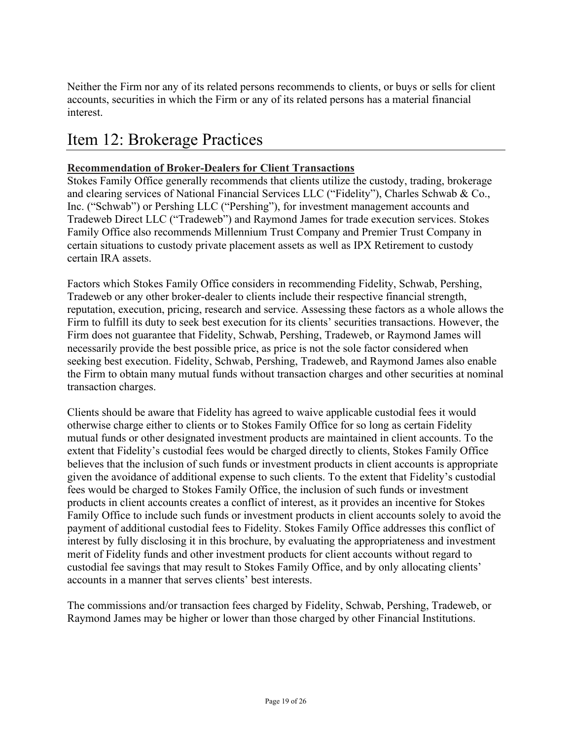Neither the Firm nor any of its related persons recommends to clients, or buys or sells for client accounts, securities in which the Firm or any of its related persons has a material financial interest.

# <span id="page-18-0"></span>Item 12: Brokerage Practices

### **Recommendation of Broker-Dealers for Client Transactions**

Stokes Family Office generally recommends that clients utilize the custody, trading, brokerage and clearing services of National Financial Services LLC ("Fidelity"), Charles Schwab & Co., Inc. ("Schwab") or Pershing LLC ("Pershing"), for investment management accounts and Tradeweb Direct LLC ("Tradeweb") and Raymond James for trade execution services. Stokes Family Office also recommends Millennium Trust Company and Premier Trust Company in certain situations to custody private placement assets as well as IPX Retirement to custody certain IRA assets.

Factors which Stokes Family Office considers in recommending Fidelity, Schwab, Pershing, Tradeweb or any other broker-dealer to clients include their respective financial strength, reputation, execution, pricing, research and service. Assessing these factors as a whole allows the Firm to fulfill its duty to seek best execution for its clients' securities transactions. However, the Firm does not guarantee that Fidelity, Schwab, Pershing, Tradeweb, or Raymond James will necessarily provide the best possible price, as price is not the sole factor considered when seeking best execution. Fidelity, Schwab, Pershing, Tradeweb, and Raymond James also enable the Firm to obtain many mutual funds without transaction charges and other securities at nominal transaction charges.

Clients should be aware that Fidelity has agreed to waive applicable custodial fees it would otherwise charge either to clients or to Stokes Family Office for so long as certain Fidelity mutual funds or other designated investment products are maintained in client accounts. To the extent that Fidelity's custodial fees would be charged directly to clients, Stokes Family Office believes that the inclusion of such funds or investment products in client accounts is appropriate given the avoidance of additional expense to such clients. To the extent that Fidelity's custodial fees would be charged to Stokes Family Office, the inclusion of such funds or investment products in client accounts creates a conflict of interest, as it provides an incentive for Stokes Family Office to include such funds or investment products in client accounts solely to avoid the payment of additional custodial fees to Fidelity. Stokes Family Office addresses this conflict of interest by fully disclosing it in this brochure, by evaluating the appropriateness and investment merit of Fidelity funds and other investment products for client accounts without regard to custodial fee savings that may result to Stokes Family Office, and by only allocating clients' accounts in a manner that serves clients' best interests.

The commissions and/or transaction fees charged by Fidelity, Schwab, Pershing, Tradeweb, or Raymond James may be higher or lower than those charged by other Financial Institutions.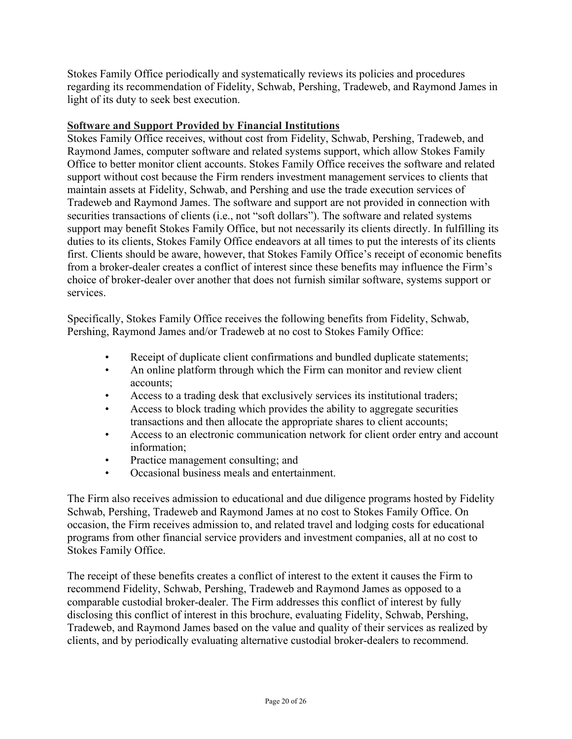Stokes Family Office periodically and systematically reviews its policies and procedures regarding its recommendation of Fidelity, Schwab, Pershing, Tradeweb, and Raymond James in light of its duty to seek best execution.

#### **Software and Support Provided by Financial Institutions**

Stokes Family Office receives, without cost from Fidelity, Schwab, Pershing, Tradeweb, and Raymond James, computer software and related systems support, which allow Stokes Family Office to better monitor client accounts. Stokes Family Office receives the software and related support without cost because the Firm renders investment management services to clients that maintain assets at Fidelity, Schwab, and Pershing and use the trade execution services of Tradeweb and Raymond James. The software and support are not provided in connection with securities transactions of clients (i.e., not "soft dollars"). The software and related systems support may benefit Stokes Family Office, but not necessarily its clients directly. In fulfilling its duties to its clients, Stokes Family Office endeavors at all times to put the interests of its clients first. Clients should be aware, however, that Stokes Family Office's receipt of economic benefits from a broker-dealer creates a conflict of interest since these benefits may influence the Firm's choice of broker-dealer over another that does not furnish similar software, systems support or services.

Specifically, Stokes Family Office receives the following benefits from Fidelity, Schwab, Pershing, Raymond James and/or Tradeweb at no cost to Stokes Family Office:

- Receipt of duplicate client confirmations and bundled duplicate statements;
- An online platform through which the Firm can monitor and review client accounts;
- Access to a trading desk that exclusively services its institutional traders;
- Access to block trading which provides the ability to aggregate securities transactions and then allocate the appropriate shares to client accounts;
- Access to an electronic communication network for client order entry and account information;
- Practice management consulting; and
- Occasional business meals and entertainment.

The Firm also receives admission to educational and due diligence programs hosted by Fidelity Schwab, Pershing, Tradeweb and Raymond James at no cost to Stokes Family Office. On occasion, the Firm receives admission to, and related travel and lodging costs for educational programs from other financial service providers and investment companies, all at no cost to Stokes Family Office.

The receipt of these benefits creates a conflict of interest to the extent it causes the Firm to recommend Fidelity, Schwab, Pershing, Tradeweb and Raymond James as opposed to a comparable custodial broker-dealer. The Firm addresses this conflict of interest by fully disclosing this conflict of interest in this brochure, evaluating Fidelity, Schwab, Pershing, Tradeweb, and Raymond James based on the value and quality of their services as realized by clients, and by periodically evaluating alternative custodial broker-dealers to recommend.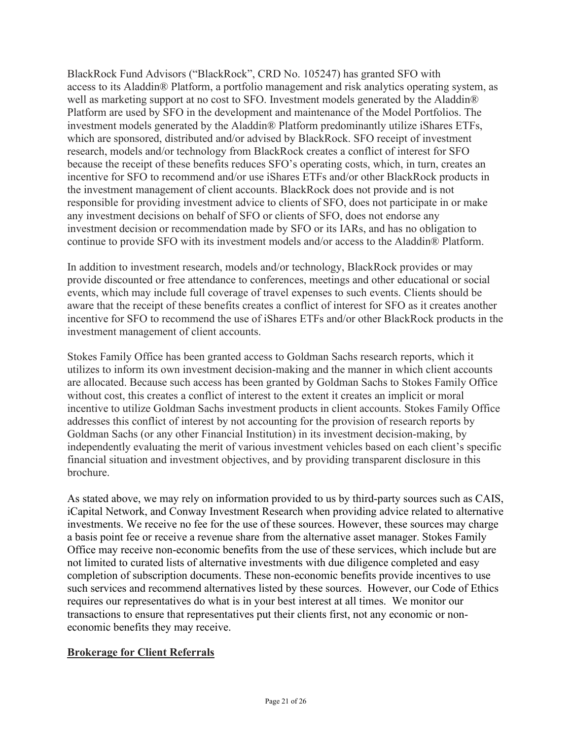BlackRock Fund Advisors ("BlackRock", CRD No. 105247) has granted SFO with access to its Aladdin® Platform, a portfolio management and risk analytics operating system, as well as marketing support at no cost to SFO. Investment models generated by the Aladdin® Platform are used by SFO in the development and maintenance of the Model Portfolios. The investment models generated by the Aladdin® Platform predominantly utilize iShares ETFs, which are sponsored, distributed and/or advised by BlackRock. SFO receipt of investment research, models and/or technology from BlackRock creates a conflict of interest for SFO because the receipt of these benefits reduces SFO's operating costs, which, in turn, creates an incentive for SFO to recommend and/or use iShares ETFs and/or other BlackRock products in the investment management of client accounts. BlackRock does not provide and is not responsible for providing investment advice to clients of SFO, does not participate in or make any investment decisions on behalf of SFO or clients of SFO, does not endorse any investment decision or recommendation made by SFO or its IARs, and has no obligation to continue to provide SFO with its investment models and/or access to the Aladdin® Platform.

In addition to investment research, models and/or technology, BlackRock provides or may provide discounted or free attendance to conferences, meetings and other educational or social events, which may include full coverage of travel expenses to such events. Clients should be aware that the receipt of these benefits creates a conflict of interest for SFO as it creates another incentive for SFO to recommend the use of iShares ETFs and/or other BlackRock products in the investment management of client accounts.

Stokes Family Office has been granted access to Goldman Sachs research reports, which it utilizes to inform its own investment decision-making and the manner in which client accounts are allocated. Because such access has been granted by Goldman Sachs to Stokes Family Office without cost, this creates a conflict of interest to the extent it creates an implicit or moral incentive to utilize Goldman Sachs investment products in client accounts. Stokes Family Office addresses this conflict of interest by not accounting for the provision of research reports by Goldman Sachs (or any other Financial Institution) in its investment decision-making, by independently evaluating the merit of various investment vehicles based on each client's specific financial situation and investment objectives, and by providing transparent disclosure in this brochure.

As stated above, we may rely on information provided to us by third-party sources such as CAIS, iCapital Network, and Conway Investment Research when providing advice related to alternative investments. We receive no fee for the use of these sources. However, these sources may charge a basis point fee or receive a revenue share from the alternative asset manager. Stokes Family Office may receive non-economic benefits from the use of these services, which include but are not limited to curated lists of alternative investments with due diligence completed and easy completion of subscription documents. These non-economic benefits provide incentives to use such services and recommend alternatives listed by these sources. However, our Code of Ethics requires our representatives do what is in your best interest at all times. We monitor our transactions to ensure that representatives put their clients first, not any economic or noneconomic benefits they may receive.

### **Brokerage for Client Referrals**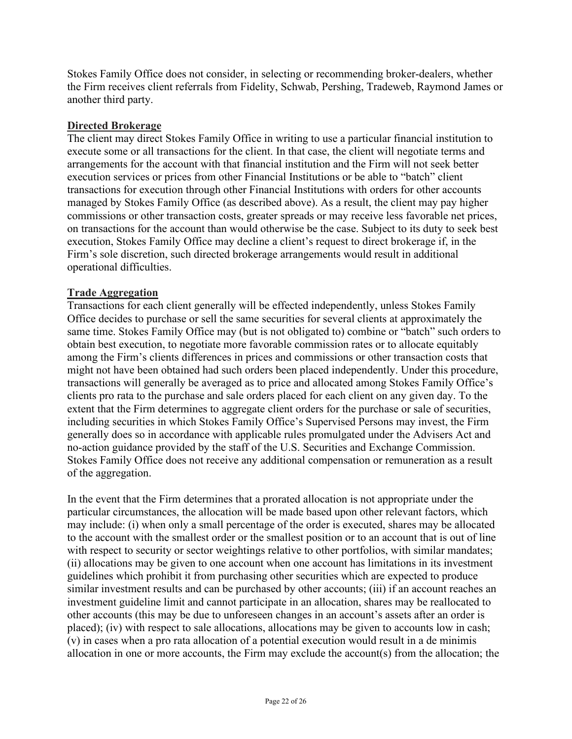Stokes Family Office does not consider, in selecting or recommending broker-dealers, whether the Firm receives client referrals from Fidelity, Schwab, Pershing, Tradeweb, Raymond James or another third party.

### **Directed Brokerage**

The client may direct Stokes Family Office in writing to use a particular financial institution to execute some or all transactions for the client. In that case, the client will negotiate terms and arrangements for the account with that financial institution and the Firm will not seek better execution services or prices from other Financial Institutions or be able to "batch" client transactions for execution through other Financial Institutions with orders for other accounts managed by Stokes Family Office (as described above). As a result, the client may pay higher commissions or other transaction costs, greater spreads or may receive less favorable net prices, on transactions for the account than would otherwise be the case. Subject to its duty to seek best execution, Stokes Family Office may decline a client's request to direct brokerage if, in the Firm's sole discretion, such directed brokerage arrangements would result in additional operational difficulties.

#### **Trade Aggregation**

Transactions for each client generally will be effected independently, unless Stokes Family Office decides to purchase or sell the same securities for several clients at approximately the same time. Stokes Family Office may (but is not obligated to) combine or "batch" such orders to obtain best execution, to negotiate more favorable commission rates or to allocate equitably among the Firm's clients differences in prices and commissions or other transaction costs that might not have been obtained had such orders been placed independently. Under this procedure, transactions will generally be averaged as to price and allocated among Stokes Family Office's clients pro rata to the purchase and sale orders placed for each client on any given day. To the extent that the Firm determines to aggregate client orders for the purchase or sale of securities, including securities in which Stokes Family Office's Supervised Persons may invest, the Firm generally does so in accordance with applicable rules promulgated under the Advisers Act and no-action guidance provided by the staff of the U.S. Securities and Exchange Commission. Stokes Family Office does not receive any additional compensation or remuneration as a result of the aggregation.

In the event that the Firm determines that a prorated allocation is not appropriate under the particular circumstances, the allocation will be made based upon other relevant factors, which may include: (i) when only a small percentage of the order is executed, shares may be allocated to the account with the smallest order or the smallest position or to an account that is out of line with respect to security or sector weightings relative to other portfolios, with similar mandates; (ii) allocations may be given to one account when one account has limitations in its investment guidelines which prohibit it from purchasing other securities which are expected to produce similar investment results and can be purchased by other accounts; (iii) if an account reaches an investment guideline limit and cannot participate in an allocation, shares may be reallocated to other accounts (this may be due to unforeseen changes in an account's assets after an order is placed); (iv) with respect to sale allocations, allocations may be given to accounts low in cash; (v) in cases when a pro rata allocation of a potential execution would result in a de minimis allocation in one or more accounts, the Firm may exclude the account(s) from the allocation; the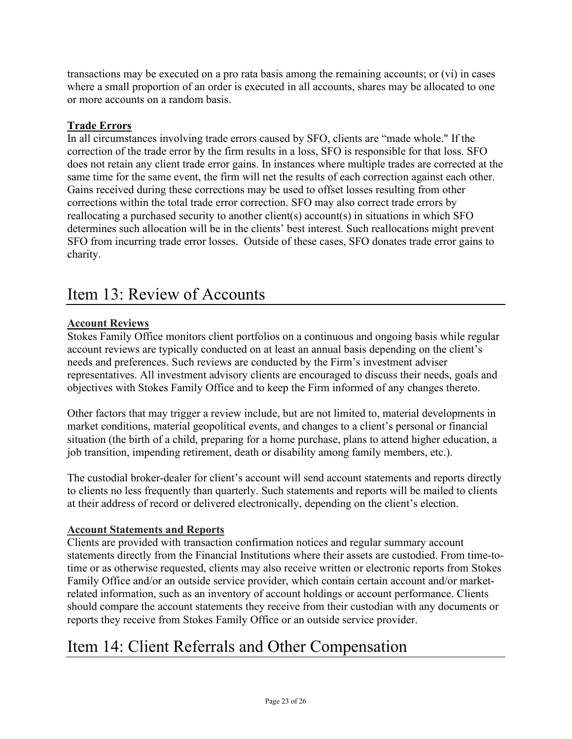transactions may be executed on a pro rata basis among the remaining accounts; or (vi) in cases where a small proportion of an order is executed in all accounts, shares may be allocated to one or more accounts on a random basis.

### **Trade Errors**

In all circumstances involving trade errors caused by SFO, clients are "made whole." If the correction of the trade error by the firm results in a loss, SFO is responsible for that loss. SFO does not retain any client trade error gains. In instances where multiple trades are corrected at the same time for the same event, the firm will net the results of each correction against each other. Gains received during these corrections may be used to offset losses resulting from other corrections within the total trade error correction. SFO may also correct trade errors by reallocating a purchased security to another client(s) account(s) in situations in which SFO determines such allocation will be in the clients' best interest. Such reallocations might prevent SFO from incurring trade error losses. Outside of these cases, SFO donates trade error gains to charity.

# <span id="page-22-0"></span>Item 13: Review of Accounts

### **Account Reviews**

Stokes Family Office monitors client portfolios on a continuous and ongoing basis while regular account reviews are typically conducted on at least an annual basis depending on the client's needs and preferences. Such reviews are conducted by the Firm's investment adviser representatives. All investment advisory clients are encouraged to discuss their needs, goals and objectives with Stokes Family Office and to keep the Firm informed of any changes thereto.

Other factors that may trigger a review include, but are not limited to, material developments in market conditions, material geopolitical events, and changes to a client's personal or financial situation (the birth of a child, preparing for a home purchase, plans to attend higher education, a job transition, impending retirement, death or disability among family members, etc.).

The custodial broker-dealer for client's account will send account statements and reports directly to clients no less frequently than quarterly. Such statements and reports will be mailed to clients at their address of record or delivered electronically, depending on the client's election.

### **Account Statements and Reports**

Clients are provided with transaction confirmation notices and regular summary account statements directly from the Financial Institutions where their assets are custodied. From time-totime or as otherwise requested, clients may also receive written or electronic reports from Stokes Family Office and/or an outside service provider, which contain certain account and/or marketrelated information, such as an inventory of account holdings or account performance. Clients should compare the account statements they receive from their custodian with any documents or reports they receive from Stokes Family Office or an outside service provider.

# <span id="page-22-1"></span>Item 14: Client Referrals and Other Compensation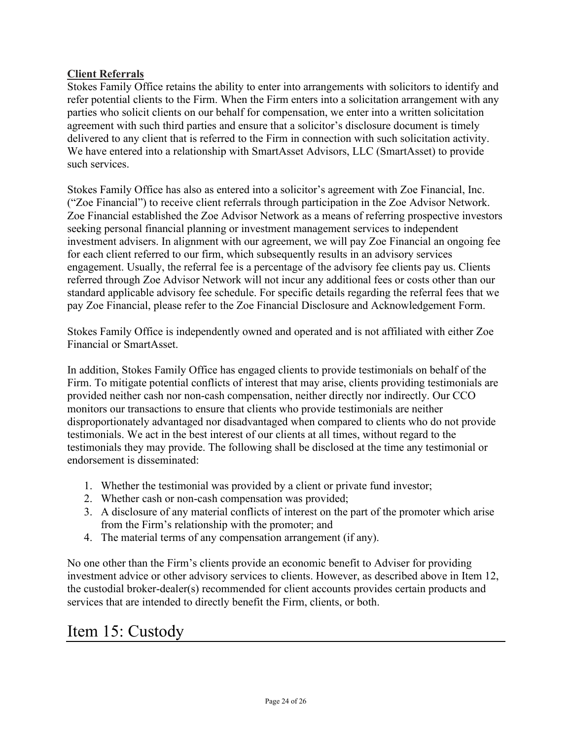### **Client Referrals**

Stokes Family Office retains the ability to enter into arrangements with solicitors to identify and refer potential clients to the Firm. When the Firm enters into a solicitation arrangement with any parties who solicit clients on our behalf for compensation, we enter into a written solicitation agreement with such third parties and ensure that a solicitor's disclosure document is timely delivered to any client that is referred to the Firm in connection with such solicitation activity. We have entered into a relationship with SmartAsset Advisors, LLC (SmartAsset) to provide such services.

Stokes Family Office has also as entered into a solicitor's agreement with Zoe Financial, Inc. ("Zoe Financial") to receive client referrals through participation in the Zoe Advisor Network. Zoe Financial established the Zoe Advisor Network as a means of referring prospective investors seeking personal financial planning or investment management services to independent investment advisers. In alignment with our agreement, we will pay Zoe Financial an ongoing fee for each client referred to our firm, which subsequently results in an advisory services engagement. Usually, the referral fee is a percentage of the advisory fee clients pay us. Clients referred through Zoe Advisor Network will not incur any additional fees or costs other than our standard applicable advisory fee schedule. For specific details regarding the referral fees that we pay Zoe Financial, please refer to the Zoe Financial Disclosure and Acknowledgement Form.

Stokes Family Office is independently owned and operated and is not affiliated with either Zoe Financial or SmartAsset.

In addition, Stokes Family Office has engaged clients to provide testimonials on behalf of the Firm. To mitigate potential conflicts of interest that may arise, clients providing testimonials are provided neither cash nor non-cash compensation, neither directly nor indirectly. Our CCO monitors our transactions to ensure that clients who provide testimonials are neither disproportionately advantaged nor disadvantaged when compared to clients who do not provide testimonials. We act in the best interest of our clients at all times, without regard to the testimonials they may provide. The following shall be disclosed at the time any testimonial or endorsement is disseminated:

- 1. Whether the testimonial was provided by a client or private fund investor;
- 2. Whether cash or non-cash compensation was provided;
- 3. A disclosure of any material conflicts of interest on the part of the promoter which arise from the Firm's relationship with the promoter; and
- 4. The material terms of any compensation arrangement (if any).

No one other than the Firm's clients provide an economic benefit to Adviser for providing investment advice or other advisory services to clients. However, as described above in Item 12, the custodial broker-dealer(s) recommended for client accounts provides certain products and services that are intended to directly benefit the Firm, clients, or both.

# <span id="page-23-0"></span>Item 15: Custody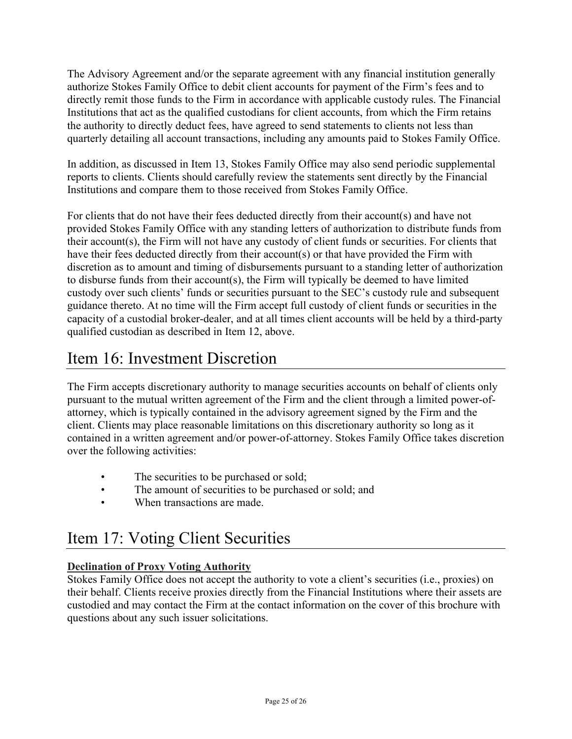The Advisory Agreement and/or the separate agreement with any financial institution generally authorize Stokes Family Office to debit client accounts for payment of the Firm's fees and to directly remit those funds to the Firm in accordance with applicable custody rules. The Financial Institutions that act as the qualified custodians for client accounts, from which the Firm retains the authority to directly deduct fees, have agreed to send statements to clients not less than quarterly detailing all account transactions, including any amounts paid to Stokes Family Office.

In addition, as discussed in Item 13, Stokes Family Office may also send periodic supplemental reports to clients. Clients should carefully review the statements sent directly by the Financial Institutions and compare them to those received from Stokes Family Office.

For clients that do not have their fees deducted directly from their account(s) and have not provided Stokes Family Office with any standing letters of authorization to distribute funds from their account(s), the Firm will not have any custody of client funds or securities. For clients that have their fees deducted directly from their account(s) or that have provided the Firm with discretion as to amount and timing of disbursements pursuant to a standing letter of authorization to disburse funds from their account(s), the Firm will typically be deemed to have limited custody over such clients' funds or securities pursuant to the SEC's custody rule and subsequent guidance thereto. At no time will the Firm accept full custody of client funds or securities in the capacity of a custodial broker-dealer, and at all times client accounts will be held by a third-party qualified custodian as described in Item 12, above.

# <span id="page-24-0"></span>Item 16: Investment Discretion

The Firm accepts discretionary authority to manage securities accounts on behalf of clients only pursuant to the mutual written agreement of the Firm and the client through a limited power-ofattorney, which is typically contained in the advisory agreement signed by the Firm and the client. Clients may place reasonable limitations on this discretionary authority so long as it contained in a written agreement and/or power-of-attorney. Stokes Family Office takes discretion over the following activities:

- The securities to be purchased or sold;
- The amount of securities to be purchased or sold; and
- When transactions are made.

# <span id="page-24-1"></span>Item 17: Voting Client Securities

# **Declination of Proxy Voting Authority**

Stokes Family Office does not accept the authority to vote a client's securities (i.e., proxies) on their behalf. Clients receive proxies directly from the Financial Institutions where their assets are custodied and may contact the Firm at the contact information on the cover of this brochure with questions about any such issuer solicitations.